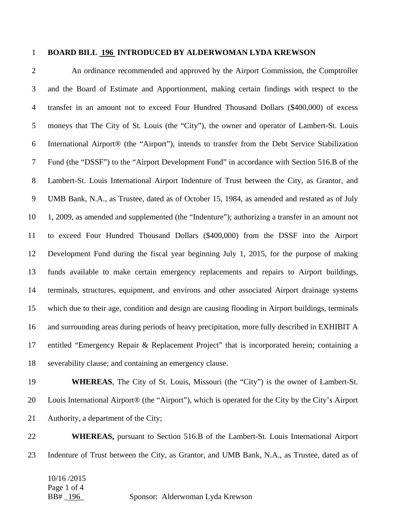## 1 **BOARD BILL 196 INTRODUCED BY ALDERWOMAN LYDA KREWSON**

2 An ordinance recommended and approved by the Airport Commission, the Comptroller 3 and the Board of Estimate and Apportionment, making certain findings with respect to the 4 transfer in an amount not to exceed Four Hundred Thousand Dollars (\$400,000) of excess 5 moneys that The City of St. Louis (the "City"), the owner and operator of Lambert-St. Louis 6 International Airport® (the "Airport"), intends to transfer from the Debt Service Stabilization 7 Fund (the "DSSF") to the "Airport Development Fund" in accordance with Section 516.B of the 8 Lambert-St. Louis International Airport Indenture of Trust between the City, as Grantor, and 9 UMB Bank, N.A., as Trustee, dated as of October 15, 1984, as amended and restated as of July 10 1, 2009, as amended and supplemented (the "Indenture"); authorizing a transfer in an amount not 11 to exceed Four Hundred Thousand Dollars (\$400,000) from the DSSF into the Airport 12 Development Fund during the fiscal year beginning July 1, 2015, for the purpose of making 13 funds available to make certain emergency replacements and repairs to Airport buildings, 14 terminals, structures, equipment, and environs and other associated Airport drainage systems 15 which due to their age, condition and design are causing flooding in Airport buildings, terminals 16 and surrounding areas during periods of heavy precipitation, more fully described in EXHIBIT A 17 entitled "Emergency Repair & Replacement Project" that is incorporated herein; containing a 18 severability clause; and containing an emergency clause.

19 **WHEREAS**, The City of St. Louis, Missouri (the "City") is the owner of Lambert-St. 20 Louis International Airport® (the "Airport"), which is operated for the City by the City's Airport 21 Authority, a department of the City;

22 **WHEREAS,** pursuant to Section 516.B of the Lambert-St. Louis International Airport 23 Indenture of Trust between the City, as Grantor, and UMB Bank, N.A., as Trustee, dated as of

10/16 /2015 Page 1 of 4

BB# 196 Sponsor: Alderwoman Lyda Krewson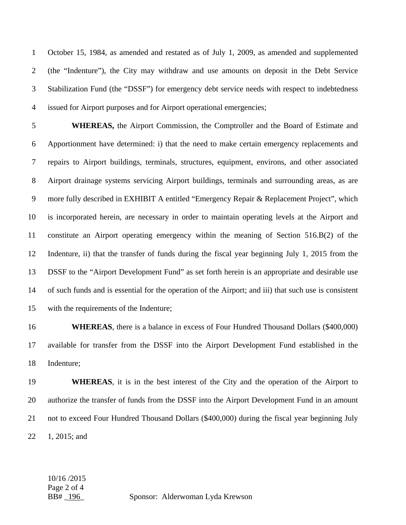1 October 15, 1984, as amended and restated as of July 1, 2009, as amended and supplemented 2 (the "Indenture"), the City may withdraw and use amounts on deposit in the Debt Service 3 Stabilization Fund (the "DSSF") for emergency debt service needs with respect to indebtedness 4 issued for Airport purposes and for Airport operational emergencies;

5 **WHEREAS,** the Airport Commission, the Comptroller and the Board of Estimate and 6 Apportionment have determined: i) that the need to make certain emergency replacements and 7 repairs to Airport buildings, terminals, structures, equipment, environs, and other associated 8 Airport drainage systems servicing Airport buildings, terminals and surrounding areas, as are 9 more fully described in EXHIBIT A entitled "Emergency Repair & Replacement Project", which 10 is incorporated herein, are necessary in order to maintain operating levels at the Airport and 11 constitute an Airport operating emergency within the meaning of Section 516.B(2) of the 12 Indenture, ii) that the transfer of funds during the fiscal year beginning July 1, 2015 from the 13 DSSF to the "Airport Development Fund" as set forth herein is an appropriate and desirable use 14 of such funds and is essential for the operation of the Airport; and iii) that such use is consistent 15 with the requirements of the Indenture;

16 **WHEREAS**, there is a balance in excess of Four Hundred Thousand Dollars (\$400,000) 17 available for transfer from the DSSF into the Airport Development Fund established in the 18 Indenture;

19 **WHEREAS**, it is in the best interest of the City and the operation of the Airport to 20 authorize the transfer of funds from the DSSF into the Airport Development Fund in an amount 21 not to exceed Four Hundred Thousand Dollars (\$400,000) during the fiscal year beginning July 22 1, 2015; and

## 10/16 /2015 Page 2 of 4

BB# 196 Sponsor: Alderwoman Lyda Krewson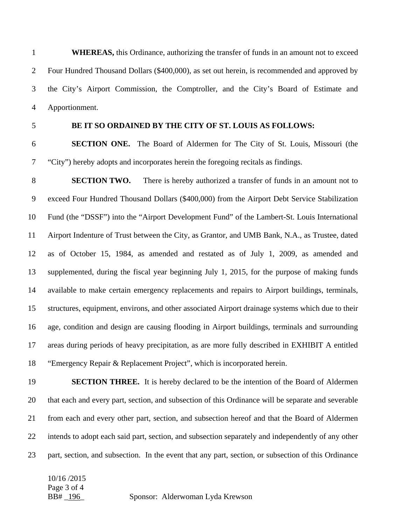1 **WHEREAS,** this Ordinance, authorizing the transfer of funds in an amount not to exceed 2 Four Hundred Thousand Dollars (\$400,000), as set out herein, is recommended and approved by 3 the City's Airport Commission, the Comptroller, and the City's Board of Estimate and 4 Apportionment.

## 5 **BE IT SO ORDAINED BY THE CITY OF ST. LOUIS AS FOLLOWS:**

6 **SECTION ONE.** The Board of Aldermen for The City of St. Louis, Missouri (the 7 "City") hereby adopts and incorporates herein the foregoing recitals as findings.

8 **SECTION TWO.** There is hereby authorized a transfer of funds in an amount not to 9 exceed Four Hundred Thousand Dollars (\$400,000) from the Airport Debt Service Stabilization 10 Fund (the "DSSF") into the "Airport Development Fund" of the Lambert-St. Louis International 11 Airport Indenture of Trust between the City, as Grantor, and UMB Bank, N.A., as Trustee, dated 12 as of October 15, 1984, as amended and restated as of July 1, 2009, as amended and 13 supplemented, during the fiscal year beginning July 1, 2015, for the purpose of making funds 14 available to make certain emergency replacements and repairs to Airport buildings, terminals, 15 structures, equipment, environs, and other associated Airport drainage systems which due to their 16 age, condition and design are causing flooding in Airport buildings, terminals and surrounding 17 areas during periods of heavy precipitation, as are more fully described in EXHIBIT A entitled 18 "Emergency Repair & Replacement Project", which is incorporated herein.

19 **SECTION THREE.** It is hereby declared to be the intention of the Board of Aldermen 20 that each and every part, section, and subsection of this Ordinance will be separate and severable 21 from each and every other part, section, and subsection hereof and that the Board of Aldermen 22 intends to adopt each said part, section, and subsection separately and independently of any other 23 part, section, and subsection. In the event that any part, section, or subsection of this Ordinance

10/16 /2015 Page 3 of 4